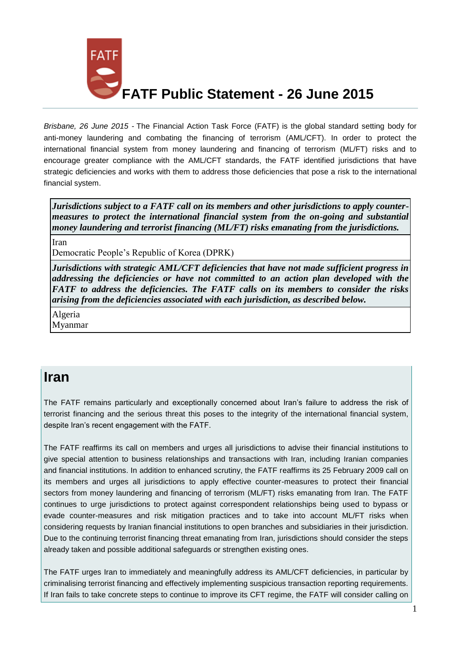

*Brisbane, 26 June 2015 -* The Financial Action Task Force (FATF) is the global standard setting body for anti-money laundering and combating the financing of terrorism (AML/CFT). In order to protect the international financial system from money laundering and financing of terrorism (ML/FT) risks and to encourage greater compliance with the AML/CFT standards, the FATF identified jurisdictions that have strategic deficiencies and works with them to address those deficiencies that pose a risk to the international financial system.

*Jurisdictions subject to a FATF call on its members and other jurisdictions to apply countermeasures to protect the international financial system from the on-going and substantial money laundering and terrorist financing (ML/FT) risks emanating from the jurisdictions.*

[Iran](http://www.fatf-gafi.org/documents/news/public-statement-june-2015.html#iran)

[Democratic People's Republic of Korea \(DPRK\)](http://www.fatf-gafi.org/documents/news/public-statement-june-2015.html#DPRK)

*Jurisdictions with strategic AML/CFT deficiencies that have not made sufficient progress in addressing the deficiencies or have not committed to an action plan developed with the FATF to address the deficiencies. The FATF calls on its members to consider the risks arising from the deficiencies associated with each jurisdiction, as described below.*

[Algeria](http://www.fatf-gafi.org/documents/news/public-statement-june-2015.html#Algeria)

[Myanmar](http://www.fatf-gafi.org/documents/news/public-statement-june-2015.html#Myanmar)

## **Iran**

The FATF remains particularly and exceptionally concerned about Iran's failure to address the risk of terrorist financing and the serious threat this poses to the integrity of the international financial system, despite Iran's recent engagement with the FATF.

The FATF reaffirms its call on members and urges all jurisdictions to advise their financial institutions to give special attention to business relationships and transactions with Iran, including Iranian companies and financial institutions. In addition to enhanced scrutiny, the FATF reaffirms its 25 February 2009 call on its members and urges all jurisdictions to apply effective counter-measures to protect their financial sectors from money laundering and financing of terrorism (ML/FT) risks emanating from Iran. The FATF continues to urge jurisdictions to protect against correspondent relationships being used to bypass or evade counter-measures and risk mitigation practices and to take into account ML/FT risks when considering requests by Iranian financial institutions to open branches and subsidiaries in their jurisdiction. Due to the continuing terrorist financing threat emanating from Iran, jurisdictions should consider the steps already taken and possible additional safeguards or strengthen existing ones.

The FATF urges Iran to immediately and meaningfully address its AML/CFT deficiencies, in particular by criminalising terrorist financing and effectively implementing suspicious transaction reporting requirements. If Iran fails to take concrete steps to continue to improve its CFT regime, the FATF will consider calling on